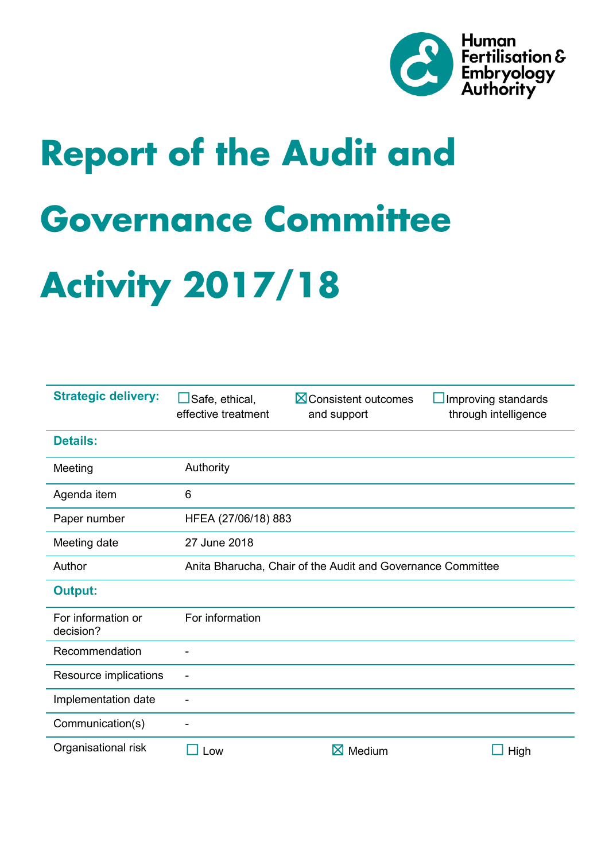

# **Report of the Audit and Governance Committee Activity 2017/18**

| <b>Strategic delivery:</b>      | Safe, ethical,<br>effective treatment                       | <b>X</b> Consistent outcomes<br>and support | Improving standards<br>through intelligence |
|---------------------------------|-------------------------------------------------------------|---------------------------------------------|---------------------------------------------|
| <b>Details:</b>                 |                                                             |                                             |                                             |
| Meeting                         | Authority                                                   |                                             |                                             |
| Agenda item                     | 6                                                           |                                             |                                             |
| Paper number                    | HFEA (27/06/18) 883                                         |                                             |                                             |
| Meeting date                    | 27 June 2018                                                |                                             |                                             |
| Author                          | Anita Bharucha, Chair of the Audit and Governance Committee |                                             |                                             |
| <b>Output:</b>                  |                                                             |                                             |                                             |
| For information or<br>decision? | For information                                             |                                             |                                             |
| Recommendation                  |                                                             |                                             |                                             |
| Resource implications           |                                                             |                                             |                                             |
| Implementation date             |                                                             |                                             |                                             |
| Communication(s)                |                                                             |                                             |                                             |
| Organisational risk             | Low                                                         | $\boxtimes$<br>Medium                       | High                                        |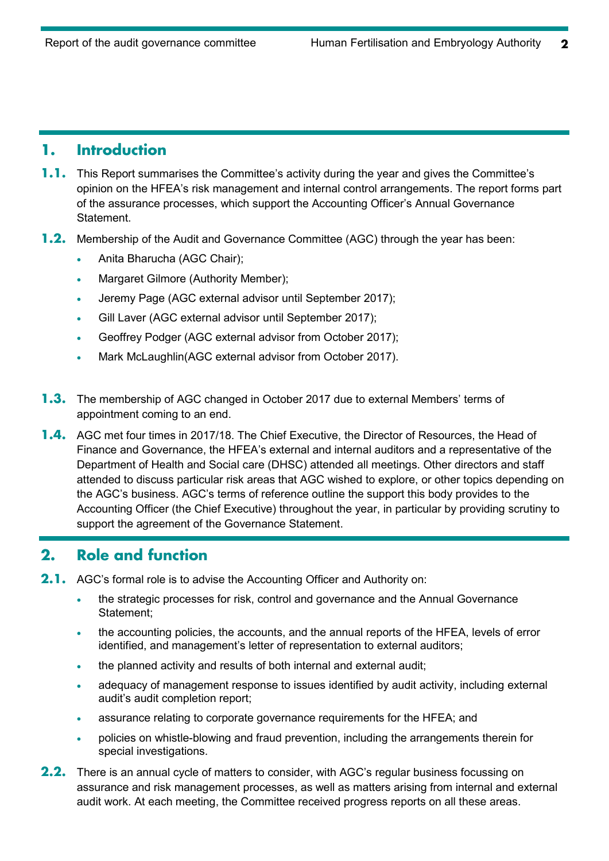### **1. Introduction**

- **1.1.** This Report summarises the Committee's activity during the year and gives the Committee's opinion on the HFEA's risk management and internal control arrangements. The report forms part of the assurance processes, which support the Accounting Officer's Annual Governance Statement.
- **1.2.** Membership of the Audit and Governance Committee (AGC) through the year has been:
	- Anita Bharucha (AGC Chair);
	- Margaret Gilmore (Authority Member);
	- Jeremy Page (AGC external advisor until September 2017);
	- Gill Laver (AGC external advisor until September 2017);
	- Geoffrey Podger (AGC external advisor from October 2017);
	- Mark McLaughlin(AGC external advisor from October 2017).
- **1.3.** The membership of AGC changed in October 2017 due to external Members' terms of appointment coming to an end.
- **1.4.** AGC met four times in 2017/18. The Chief Executive, the Director of Resources, the Head of Finance and Governance, the HFEA's external and internal auditors and a representative of the Department of Health and Social care (DHSC) attended all meetings. Other directors and staff attended to discuss particular risk areas that AGC wished to explore, or other topics depending on the AGC's business. AGC's terms of reference outline the support this body provides to the Accounting Officer (the Chief Executive) throughout the year, in particular by providing scrutiny to support the agreement of the Governance Statement.

## **2. Role and function**

- **2.1.** AGC's formal role is to advise the Accounting Officer and Authority on:
	- the strategic processes for risk, control and governance and the Annual Governance Statement;
	- the accounting policies, the accounts, and the annual reports of the HFEA, levels of error identified, and management's letter of representation to external auditors;
	- the planned activity and results of both internal and external audit;
	- adequacy of management response to issues identified by audit activity, including external audit's audit completion report;
	- assurance relating to corporate governance requirements for the HFEA; and
	- policies on whistle-blowing and fraud prevention, including the arrangements therein for special investigations.
- **2.2.** There is an annual cycle of matters to consider, with AGC's regular business focussing on assurance and risk management processes, as well as matters arising from internal and external audit work. At each meeting, the Committee received progress reports on all these areas.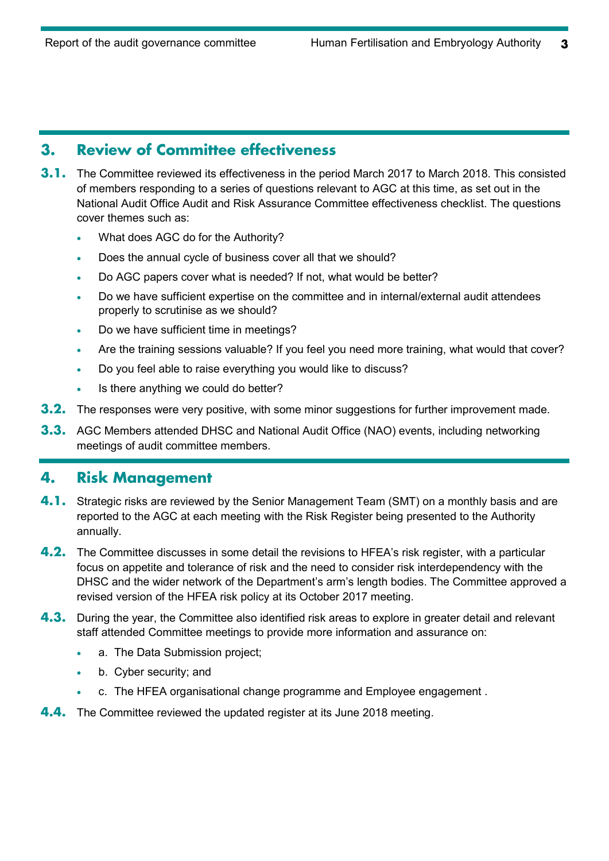### **3. Review of Committee effectiveness**

- **3.1.** The Committee reviewed its effectiveness in the period March 2017 to March 2018. This consisted of members responding to a series of questions relevant to AGC at this time, as set out in the National Audit Office Audit and Risk Assurance Committee effectiveness checklist. The questions cover themes such as:
	- What does AGC do for the Authority?
	- Does the annual cycle of business cover all that we should?
	- Do AGC papers cover what is needed? If not, what would be better?
	- Do we have sufficient expertise on the committee and in internal/external audit attendees properly to scrutinise as we should?
	- Do we have sufficient time in meetings?
	- Are the training sessions valuable? If you feel you need more training, what would that cover?
	- Do you feel able to raise everything you would like to discuss?
	- Is there anything we could do better?
- **3.2.** The responses were very positive, with some minor suggestions for further improvement made.
- **3.3.** AGC Members attended DHSC and National Audit Office (NAO) events, including networking meetings of audit committee members.

#### **4. Risk Management**

- **4.1.** Strategic risks are reviewed by the Senior Management Team (SMT) on a monthly basis and are reported to the AGC at each meeting with the Risk Register being presented to the Authority annually.
- **4.2.** The Committee discusses in some detail the revisions to HFEA's risk register, with a particular focus on appetite and tolerance of risk and the need to consider risk interdependency with the DHSC and the wider network of the Department's arm's length bodies. The Committee approved a revised version of the HFEA risk policy at its October 2017 meeting.
- **4.3.** During the year, the Committee also identified risk areas to explore in greater detail and relevant staff attended Committee meetings to provide more information and assurance on:
	- a. The Data Submission project;
	- b. Cyber security; and
	- c. The HFEA organisational change programme and Employee engagement .
- **4.4.** The Committee reviewed the updated register at its June 2018 meeting.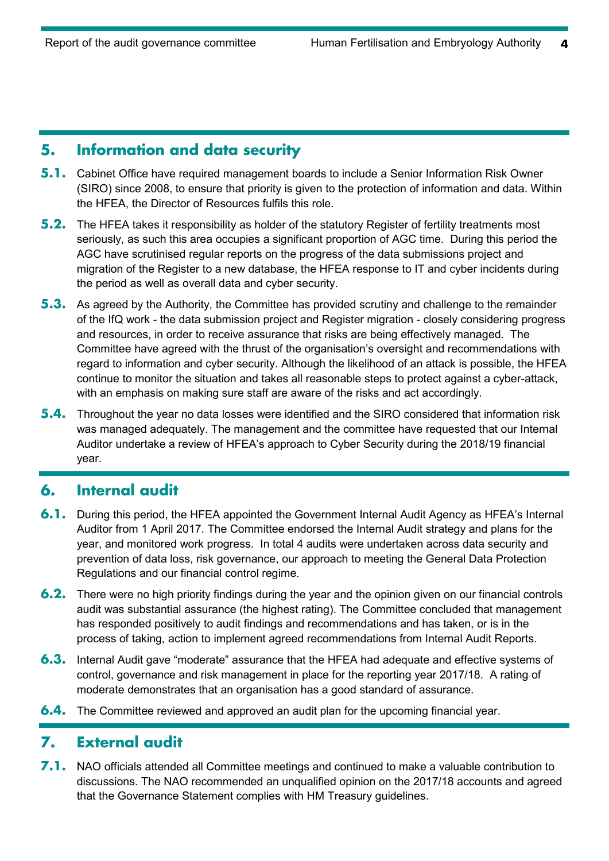#### **5. Information and data security**

- **5.1.** Cabinet Office have required management boards to include a Senior Information Risk Owner (SIRO) since 2008, to ensure that priority is given to the protection of information and data. Within the HFEA, the Director of Resources fulfils this role.
- **5.2.** The HFEA takes it responsibility as holder of the statutory Register of fertility treatments most seriously, as such this area occupies a significant proportion of AGC time. During this period the AGC have scrutinised regular reports on the progress of the data submissions project and migration of the Register to a new database, the HFEA response to IT and cyber incidents during the period as well as overall data and cyber security.
- **5.3.** As agreed by the Authority, the Committee has provided scrutiny and challenge to the remainder of the IfQ work - the data submission project and Register migration - closely considering progress and resources, in order to receive assurance that risks are being effectively managed. The Committee have agreed with the thrust of the organisation's oversight and recommendations with regard to information and cyber security. Although the likelihood of an attack is possible, the HFEA continue to monitor the situation and takes all reasonable steps to protect against a cyber-attack, with an emphasis on making sure staff are aware of the risks and act accordingly.
- **5.4.** Throughout the year no data losses were identified and the SIRO considered that information risk was managed adequately. The management and the committee have requested that our Internal Auditor undertake a review of HFEA's approach to Cyber Security during the 2018/19 financial year.

## **6. Internal audit**

- **6.1.** During this period, the HFEA appointed the Government Internal Audit Agency as HFEA's Internal Auditor from 1 April 2017. The Committee endorsed the Internal Audit strategy and plans for the year, and monitored work progress. In total 4 audits were undertaken across data security and prevention of data loss, risk governance, our approach to meeting the General Data Protection Regulations and our financial control regime.
- **6.2.** There were no high priority findings during the year and the opinion given on our financial controls audit was substantial assurance (the highest rating). The Committee concluded that management has responded positively to audit findings and recommendations and has taken, or is in the process of taking, action to implement agreed recommendations from Internal Audit Reports.
- **6.3.** Internal Audit gave "moderate" assurance that the HFEA had adequate and effective systems of control, governance and risk management in place for the reporting year 2017/18. A rating of moderate demonstrates that an organisation has a good standard of assurance.
- **6.4.** The Committee reviewed and approved an audit plan for the upcoming financial year.

## **7. External audit**

**7.1.** NAO officials attended all Committee meetings and continued to make a valuable contribution to discussions. The NAO recommended an unqualified opinion on the 2017/18 accounts and agreed that the Governance Statement complies with HM Treasury guidelines.